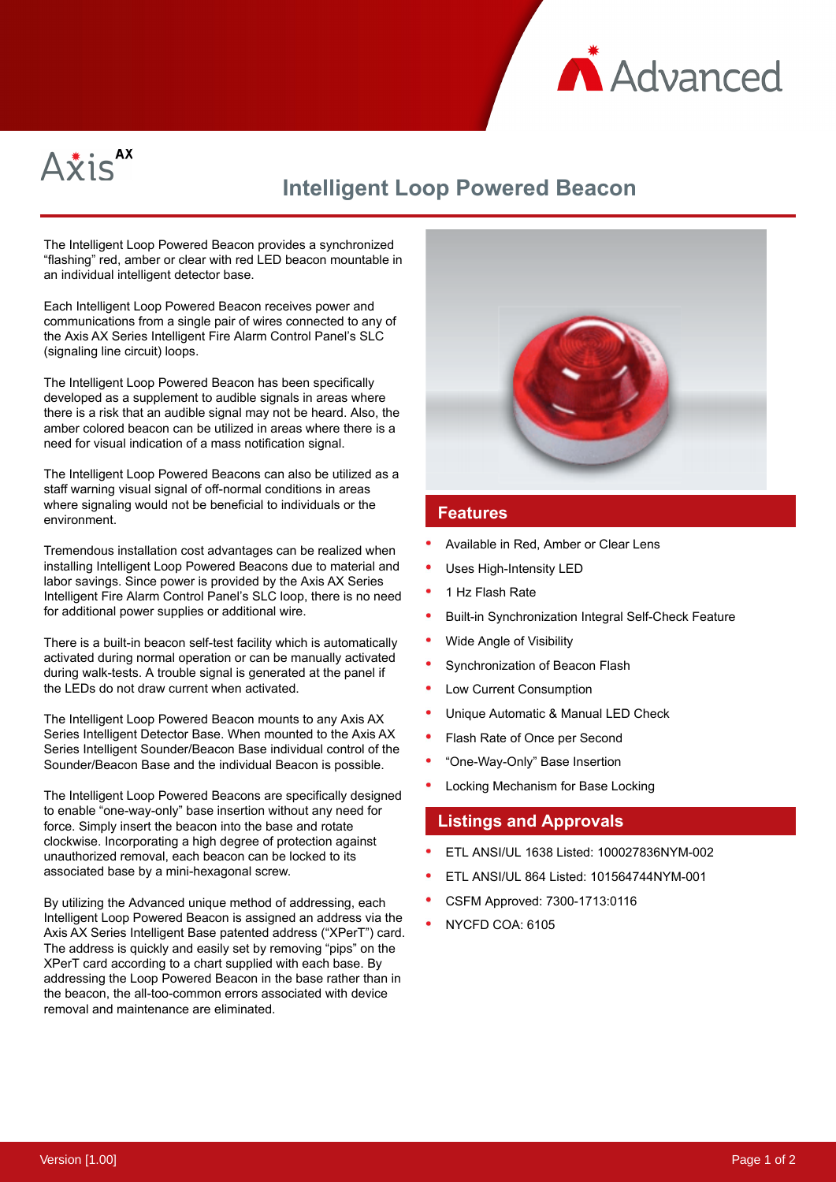



## **Intelligent Loop Powered Beacon**

The Intelligent Loop Powered Beacon provides a synchronized "flashing" red, amber or clear with red LED beacon mountable in an individual intelligent detector base.

Each Intelligent Loop Powered Beacon receives power and communications from a single pair of wires connected to any of the Axis AX Series Intelligent Fire Alarm Control Panel's SLC (signaling line circuit) loops.

The Intelligent Loop Powered Beacon has been specifically developed as a supplement to audible signals in areas where there is a risk that an audible signal may not be heard. Also, the amber colored beacon can be utilized in areas where there is a need for visual indication of a mass notification signal.

The Intelligent Loop Powered Beacons can also be utilized as a staff warning visual signal of off-normal conditions in areas where signaling would not be beneficial to individuals or the environment.

Tremendous installation cost advantages can be realized when installing Intelligent Loop Powered Beacons due to material and labor savings. Since power is provided by the Axis AX Series Intelligent Fire Alarm Control Panel's SLC loop, there is no need for additional power supplies or additional wire.

There is a built-in beacon self-test facility which is automatically activated during normal operation or can be manually activated during walk-tests. A trouble signal is generated at the panel if the LEDs do not draw current when activated.

The Intelligent Loop Powered Beacon mounts to any Axis AX Series Intelligent Detector Base. When mounted to the Axis AX Series Intelligent Sounder/Beacon Base individual control of the Sounder/Beacon Base and the individual Beacon is possible.

The Intelligent Loop Powered Beacons are specifically designed to enable "one-way-only" base insertion without any need for force. Simply insert the beacon into the base and rotate clockwise. Incorporating a high degree of protection against unauthorized removal, each beacon can be locked to its associated base by a mini-hexagonal screw.

By utilizing the Advanced unique method of addressing, each Intelligent Loop Powered Beacon is assigned an address via the Axis AX Series Intelligent Base patented address ("XPerT") card. The address is quickly and easily set by removing "pips" on the XPerT card according to a chart supplied with each base. By addressing the Loop Powered Beacon in the base rather than in the beacon, the all-too-common errors associated with device removal and maintenance are eliminated.



## **Features**

- Available in Red, Amber or Clear Lens
- Uses High-Intensity LED
- 1 Hz Flash Rate
- Built-in Synchronization Integral Self-Check Feature
- Wide Angle of Visibility
- Synchronization of Beacon Flash
- Low Current Consumption
- Unique Automatic & Manual LED Check
- Flash Rate of Once per Second
- "One-Way-Only" Base Insertion
- Locking Mechanism for Base Locking

## **Listings and Approvals**

- ETL ANSI/UL 1638 Listed: 100027836NYM-002
- ETL ANSI/UL 864 Listed: 101564744NYM-001
- CSFM Approved: 7300-1713:0116
- NYCFD COA: 6105